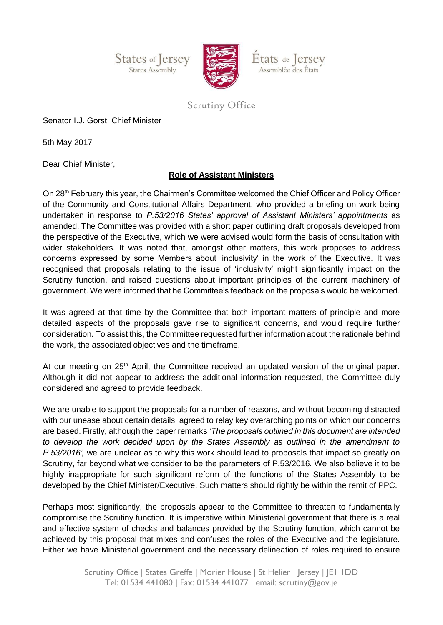**States of Jersey** States Assembly



États de Jersey Assemblée des États

## Scrutiny Office

Senator I.J. Gorst, Chief Minister

5th May 2017

Dear Chief Minister,

## **Role of Assistant Ministers**

On 28th February this year, the Chairmen's Committee welcomed the Chief Officer and Policy Officer of the Community and Constitutional Affairs Department, who provided a briefing on work being undertaken in response to *P.53/2016 States' approval of Assistant Ministers' appointments* as amended. The Committee was provided with a short paper outlining draft proposals developed from the perspective of the Executive, which we were advised would form the basis of consultation with wider stakeholders. It was noted that, amongst other matters, this work proposes to address concerns expressed by some Members about 'inclusivity' in the work of the Executive. It was recognised that proposals relating to the issue of 'inclusivity' might significantly impact on the Scrutiny function, and raised questions about important principles of the current machinery of government. We were informed that he Committee's feedback on the proposals would be welcomed.

It was agreed at that time by the Committee that both important matters of principle and more detailed aspects of the proposals gave rise to significant concerns, and would require further consideration. To assist this, the Committee requested further information about the rationale behind the work, the associated objectives and the timeframe.

At our meeting on  $25<sup>th</sup>$  April, the Committee received an updated version of the original paper. Although it did not appear to address the additional information requested, the Committee duly considered and agreed to provide feedback.

We are unable to support the proposals for a number of reasons, and without becoming distracted with our unease about certain details, agreed to relay key overarching points on which our concerns are based. Firstly, although the paper remarks *'The proposals outlined in this document are intended to develop the work decided upon by the States Assembly as outlined in the amendment to P.53/2016',* we are unclear as to why this work should lead to proposals that impact so greatly on Scrutiny, far beyond what we consider to be the parameters of P.53/2016. We also believe it to be highly inappropriate for such significant reform of the functions of the States Assembly to be developed by the Chief Minister/Executive. Such matters should rightly be within the remit of PPC.

Perhaps most significantly, the proposals appear to the Committee to threaten to fundamentally compromise the Scrutiny function. It is imperative within Ministerial government that there is a real and effective system of checks and balances provided by the Scrutiny function, which cannot be achieved by this proposal that mixes and confuses the roles of the Executive and the legislature. Either we have Ministerial government and the necessary delineation of roles required to ensure